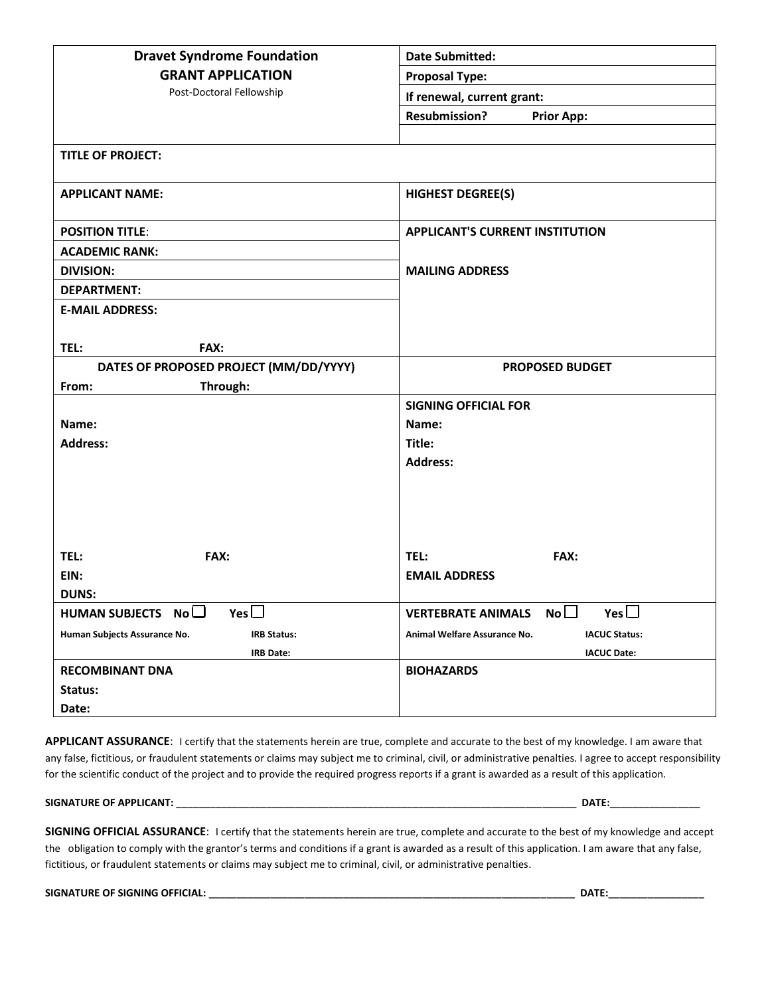| <b>Dravet Syndrome Foundation</b>                  | <b>Date Submitted:</b>                                     |  |
|----------------------------------------------------|------------------------------------------------------------|--|
| <b>GRANT APPLICATION</b>                           | <b>Proposal Type:</b>                                      |  |
| Post-Doctoral Fellowship                           | If renewal, current grant:                                 |  |
|                                                    | <b>Resubmission?</b><br><b>Prior App:</b>                  |  |
|                                                    |                                                            |  |
| <b>TITLE OF PROJECT:</b>                           |                                                            |  |
| <b>APPLICANT NAME:</b>                             | <b>HIGHEST DEGREE(S)</b>                                   |  |
| <b>POSITION TITLE:</b>                             | <b>APPLICANT'S CURRENT INSTITUTION</b>                     |  |
| <b>ACADEMIC RANK:</b>                              |                                                            |  |
| <b>DIVISION:</b>                                   | <b>MAILING ADDRESS</b>                                     |  |
| <b>DEPARTMENT:</b>                                 |                                                            |  |
| <b>E-MAIL ADDRESS:</b>                             |                                                            |  |
|                                                    |                                                            |  |
| TEL:<br>FAX:                                       |                                                            |  |
| DATES OF PROPOSED PROJECT (MM/DD/YYYY)             | <b>PROPOSED BUDGET</b>                                     |  |
| Through:<br>From:                                  |                                                            |  |
|                                                    | <b>SIGNING OFFICIAL FOR</b>                                |  |
| Name:                                              | Name:                                                      |  |
| <b>Address:</b>                                    | Title:                                                     |  |
|                                                    | <b>Address:</b>                                            |  |
|                                                    |                                                            |  |
|                                                    |                                                            |  |
|                                                    |                                                            |  |
| TEL:<br>FAX:                                       | TEL:<br>FAX:                                               |  |
| EIN:                                               | <b>EMAIL ADDRESS</b>                                       |  |
| <b>DUNS:</b>                                       |                                                            |  |
| Yes $\Box$<br>HUMAN SUBJECTS $No$                  | Yes $\Box$<br>No <sub>1</sub><br><b>VERTEBRATE ANIMALS</b> |  |
| Human Subjects Assurance No.<br><b>IRB Status:</b> | Animal Welfare Assurance No.<br><b>IACUC Status:</b>       |  |
| IRB Date:                                          | <b>IACUC Date:</b>                                         |  |
| <b>RECOMBINANT DNA</b>                             | <b>BIOHAZARDS</b>                                          |  |
| Status:                                            |                                                            |  |
| Date:                                              |                                                            |  |

**APPLICANT ASSURANCE**: I certify that the statements herein are true, complete and accurate to the best of my knowledge. I am aware that any false, fictitious, or fraudulent statements or claims may subject me to criminal, civil, or administrative penalties. I agree to accept responsibility for the scientific conduct of the project and to provide the required progress reports if a grant is awarded as a result of this application.

### **SIGNATURE OF APPLICANT:** \_\_\_\_\_\_\_\_\_\_\_\_\_\_\_\_\_\_\_\_\_\_\_\_\_\_\_\_\_\_\_\_\_\_\_\_\_\_\_\_\_\_\_\_\_\_\_\_\_\_\_\_\_\_\_\_\_\_\_\_\_\_\_\_\_\_\_\_\_\_\_ **DATE:**\_\_\_\_\_\_\_\_\_\_\_\_\_\_\_\_

**SIGNING OFFICIAL ASSURANCE**: I certify that the statements herein are true, complete and accurate to the best of my knowledge and accept the obligation to comply with the grantor's terms and conditions if a grant is awarded as a result of this application. I am aware that any false, fictitious, or fraudulent statements or claims may subject me to criminal, civil, or administrative penalties.

**SIGNATURE OF SIGNING OFFICIAL: \_\_\_\_\_\_\_\_\_\_\_\_\_\_\_\_\_\_\_\_\_\_\_\_\_\_\_\_\_\_\_\_\_\_\_\_\_\_\_\_\_\_\_\_\_\_\_\_\_\_\_\_\_\_\_\_\_\_\_\_\_\_\_\_\_ DATE:\_\_\_\_\_\_\_\_\_\_\_\_\_\_\_\_\_**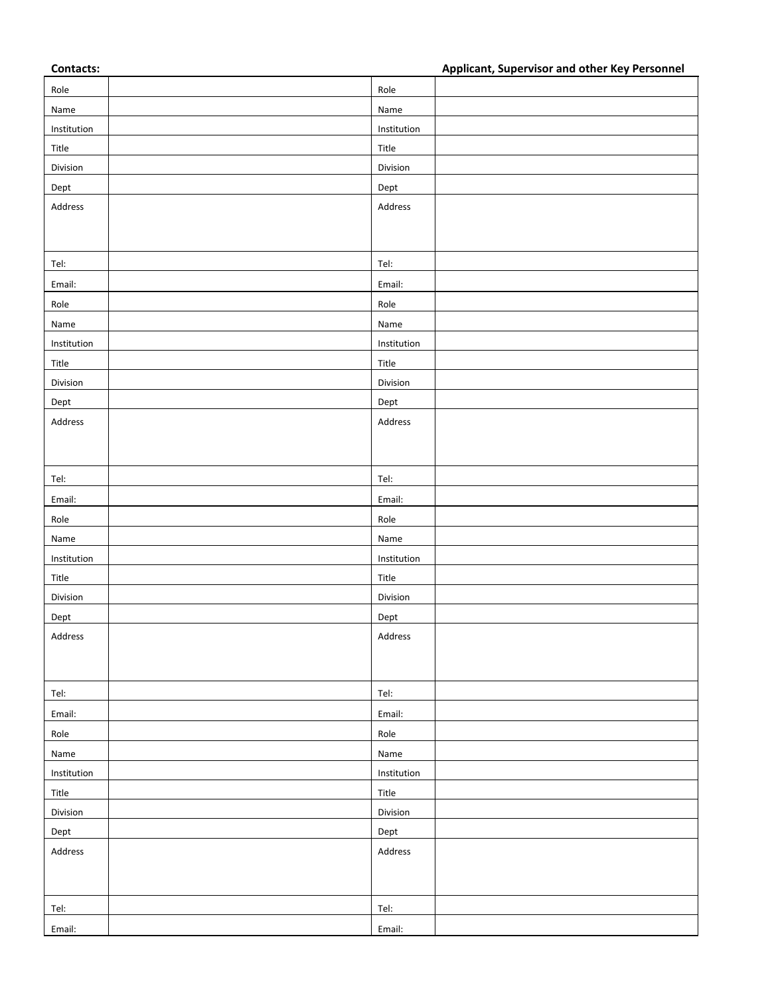**Contacts: Applicant, Supervisor and other Key Personnel**

|             |             | . . |
|-------------|-------------|-----|
| Role        | Role        |     |
| Name        | Name        |     |
| Institution | Institution |     |
| Title       | Title       |     |
| Division    | Division    |     |
| Dept        | Dept        |     |
| Address     | Address     |     |
|             |             |     |
|             |             |     |
| Tel:        | Tel:        |     |
| Email:      | Email:      |     |
| Role        | Role        |     |
| Name        | Name        |     |
| Institution | Institution |     |
| Title       | Title       |     |
| Division    | Division    |     |
| Dept        | Dept        |     |
| Address     | Address     |     |
|             |             |     |
|             |             |     |
| Tel:        | Tel:        |     |
| Email:      | Email:      |     |
| Role        | Role        |     |
| Name        | Name        |     |
| Institution | Institution |     |
| Title       | Title       |     |
| Division    | Division    |     |
| Dept        | Dept        |     |
| Address     | Address     |     |
|             |             |     |
|             |             |     |
| Tel:        | Tel:        |     |
| Email:      | Email:      |     |
| Role        | Role        |     |
| Name        | Name        |     |
| Institution | Institution |     |
| Title       | Title       |     |
| Division    | Division    |     |
| Dept        | Dept        |     |
| Address     | Address     |     |
|             |             |     |
|             |             |     |
| Tel:        | Tel:        |     |
| Email:      | Email:      |     |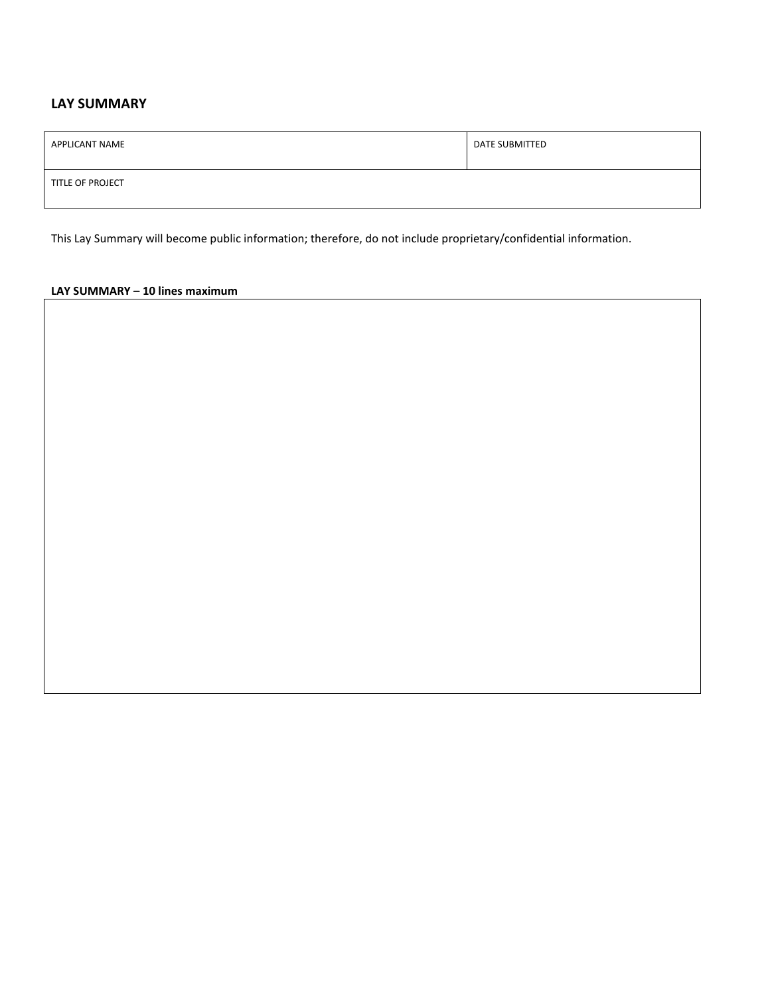# **LAY SUMMARY**

| APPLICANT NAME   | DATE SUBMITTED |
|------------------|----------------|
| TITLE OF PROJECT |                |

This Lay Summary will become public information; therefore, do not include proprietary/confidential information.

## **LAY SUMMARY – 10 lines maximum**